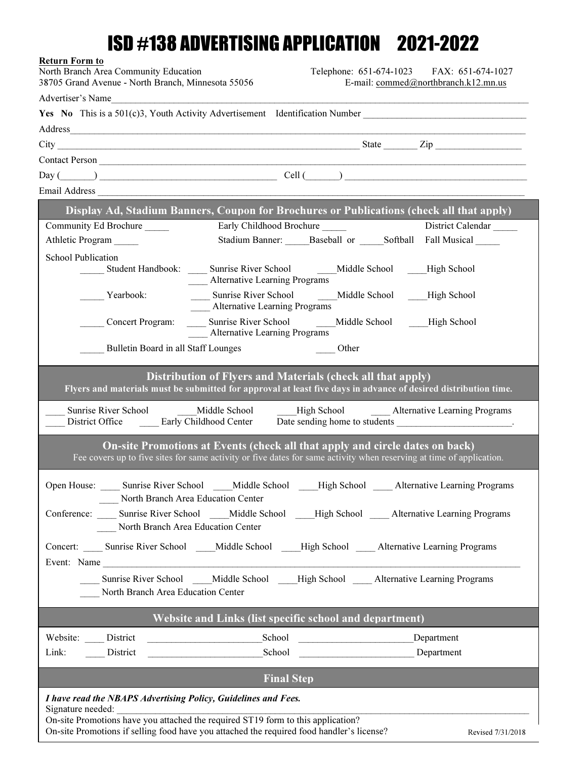## ISD #138 ADVERTISING APPLICATION 2021-2022

| <b>Return Form to</b><br>North Branch Area Community Education<br>38705 Grand Avenue - North Branch, Minnesota 55056                                                                                                           |                                                                                                                                                                                                                                           | Telephone: 651-674-1023 FAX: 651-674-1027<br>E-mail: commed@northbranch.k12.mn.us |
|--------------------------------------------------------------------------------------------------------------------------------------------------------------------------------------------------------------------------------|-------------------------------------------------------------------------------------------------------------------------------------------------------------------------------------------------------------------------------------------|-----------------------------------------------------------------------------------|
| Advertiser's Name                                                                                                                                                                                                              |                                                                                                                                                                                                                                           |                                                                                   |
|                                                                                                                                                                                                                                | Yes No This is a 501(c)3, Youth Activity Advertisement Identification Number                                                                                                                                                              |                                                                                   |
| Address and the contract of the contract of the contract of the contract of the contract of the contract of the contract of the contract of the contract of the contract of the contract of the contract of the contract of th |                                                                                                                                                                                                                                           |                                                                                   |
|                                                                                                                                                                                                                                |                                                                                                                                                                                                                                           |                                                                                   |
|                                                                                                                                                                                                                                |                                                                                                                                                                                                                                           |                                                                                   |
|                                                                                                                                                                                                                                | $Day ($ $)$ $Cell ($ $)$ $]$ $Cell ($ $)$ $]$ $]$ $[$ $)$ $]$ $[$ $)$ $[$ $]$ $[$ $]$ $[$ $]$ $[$ $]$ $[$ $]$ $[$ $]$ $[$ $]$ $[$ $]$ $[$ $]$ $[$ $]$ $[$ $]$ $[$ $]$ $[$ $]$ $[$ $]$ $[$ $]$ $[$ $]$ $[$ $]$ $[$ $]$ $[$ $]$ $[$ $]$ $[$ |                                                                                   |
|                                                                                                                                                                                                                                |                                                                                                                                                                                                                                           |                                                                                   |
|                                                                                                                                                                                                                                | Display Ad, Stadium Banners, Coupon for Brochures or Publications (check all that apply)                                                                                                                                                  |                                                                                   |
| Community Ed Brochure                                                                                                                                                                                                          | Early Childhood Brochure                                                                                                                                                                                                                  | District Calendar                                                                 |
| Athletic Program                                                                                                                                                                                                               | Stadium Banner: Baseball or Softball Fall Musical                                                                                                                                                                                         |                                                                                   |
| <b>School Publication</b>                                                                                                                                                                                                      |                                                                                                                                                                                                                                           |                                                                                   |
|                                                                                                                                                                                                                                | Student Handbook: ______ Sunrise River School ________ Middle School ______High School<br>Alternative Learning Programs                                                                                                                   |                                                                                   |
| Yearbook:                                                                                                                                                                                                                      | Sunrise River School ________Middle School _____High School<br><b>Alternative Learning Programs</b>                                                                                                                                       |                                                                                   |
| Concert Program:                                                                                                                                                                                                               | Sunrise River School Middle School High School<br>Alternative Learning Programs                                                                                                                                                           |                                                                                   |
| Bulletin Board in all Staff Lounges                                                                                                                                                                                            | Other<br>and the state of the state of the                                                                                                                                                                                                |                                                                                   |
|                                                                                                                                                                                                                                | Distribution of Flyers and Materials (check all that apply)<br>Flyers and materials must be submitted for approval at least five days in advance of desired distribution time.                                                            |                                                                                   |
| Sunrise River School<br>District Office Early Childhood Center                                                                                                                                                                 | Middle School<br>High School                                                                                                                                                                                                              | <b>Alternative Learning Programs</b>                                              |
|                                                                                                                                                                                                                                | On-site Promotions at Events (check all that apply and circle dates on back)<br>Fee covers up to five sites for same activity or five dates for same activity when reserving at time of application.                                      |                                                                                   |
| North Branch Area Education Center                                                                                                                                                                                             | Open House: _____ Sunrise River School _____ Middle School _____ High School _____ Alternative Learning Programs                                                                                                                          |                                                                                   |
| North Branch Area Education Center                                                                                                                                                                                             | Conference: Sunrise River School Middle School High School Alternative Learning Programs                                                                                                                                                  |                                                                                   |
| Event: Name                                                                                                                                                                                                                    | Concert: Sunrise River School Middle School High School Alternative Learning Programs                                                                                                                                                     |                                                                                   |
| North Branch Area Education Center                                                                                                                                                                                             | Sunrise River School Middle School High School Alternative Learning Programs                                                                                                                                                              |                                                                                   |
|                                                                                                                                                                                                                                | Website and Links (list specific school and department)                                                                                                                                                                                   |                                                                                   |
| Website: District                                                                                                                                                                                                              | Explored Explored Department                                                                                                                                                                                                              |                                                                                   |
| Link:<br>District                                                                                                                                                                                                              | Department<br>School                                                                                                                                                                                                                      |                                                                                   |
|                                                                                                                                                                                                                                | <b>Final Step</b>                                                                                                                                                                                                                         |                                                                                   |
| I have read the NBAPS Advertising Policy, Guidelines and Fees.                                                                                                                                                                 |                                                                                                                                                                                                                                           |                                                                                   |
|                                                                                                                                                                                                                                |                                                                                                                                                                                                                                           |                                                                                   |

On-site Promotions if selling food have you attached the required food handler's license?